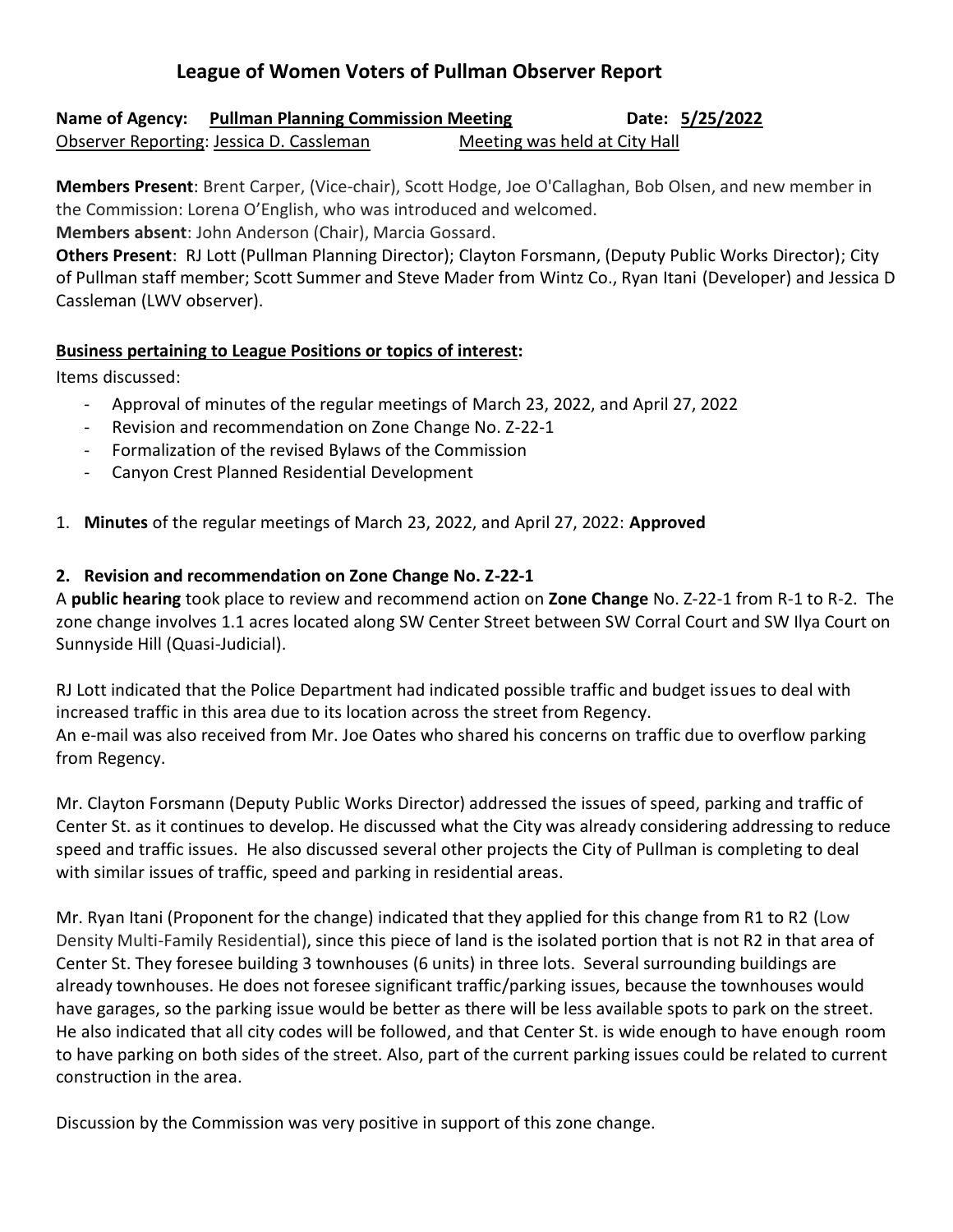# **League of Women Voters of Pullman Observer Report**

**Name of Agency:** Pullman Planning Commission Meeting **Date: 5/25/2022** Observer Reporting: Jessica D. Cassleman Meeting was held at City Hall

**Members Present**: Brent Carper, (Vice-chair), Scott Hodge, Joe O'Callaghan, Bob Olsen, and new member in the Commission: Lorena O'English, who was introduced and welcomed.

**Members absent**: John Anderson (Chair), Marcia Gossard.

**Others Present**: RJ Lott (Pullman Planning Director); Clayton Forsmann, (Deputy Public Works Director); City of Pullman staff member; Scott Summer and Steve Mader from Wintz Co., Ryan Itani (Developer) and Jessica D Cassleman (LWV observer).

#### **Business pertaining to League Positions or topics of interest:**

Items discussed:

- Approval of minutes of the regular meetings of March 23, 2022, and April 27, 2022
- Revision and recommendation on Zone Change No. Z-22-1
- Formalization of the revised Bylaws of the Commission
- Canyon Crest Planned Residential Development
- 1. **Minutes** of the regular meetings of March 23, 2022, and April 27, 2022: **Approved**

## **2. Revision and recommendation on Zone Change No. Z-22-1**

A **public hearing** took place to review and recommend action on **Zone Change** No. Z-22-1 from R-1 to R-2. The zone change involves 1.1 acres located along SW Center Street between SW Corral Court and SW Ilya Court on Sunnyside Hill (Quasi-Judicial).

RJ Lott indicated that the Police Department had indicated possible traffic and budget issues to deal with increased traffic in this area due to its location across the street from Regency. An e-mail was also received from Mr. Joe Oates who shared his concerns on traffic due to overflow parking from Regency.

Mr. Clayton Forsmann (Deputy Public Works Director) addressed the issues of speed, parking and traffic of Center St. as it continues to develop. He discussed what the City was already considering addressing to reduce speed and traffic issues. He also discussed several other projects the City of Pullman is completing to deal with similar issues of traffic, speed and parking in residential areas.

Mr. Ryan Itani (Proponent for the change) indicated that they applied for this change from R1 to R2 (Low Density Multi-Family Residential), since this piece of land is the isolated portion that is not R2 in that area of Center St. They foresee building 3 townhouses (6 units) in three lots. Several surrounding buildings are already townhouses. He does not foresee significant traffic/parking issues, because the townhouses would have garages, so the parking issue would be better as there will be less available spots to park on the street. He also indicated that all city codes will be followed, and that Center St. is wide enough to have enough room to have parking on both sides of the street. Also, part of the current parking issues could be related to current construction in the area.

Discussion by the Commission was very positive in support of this zone change.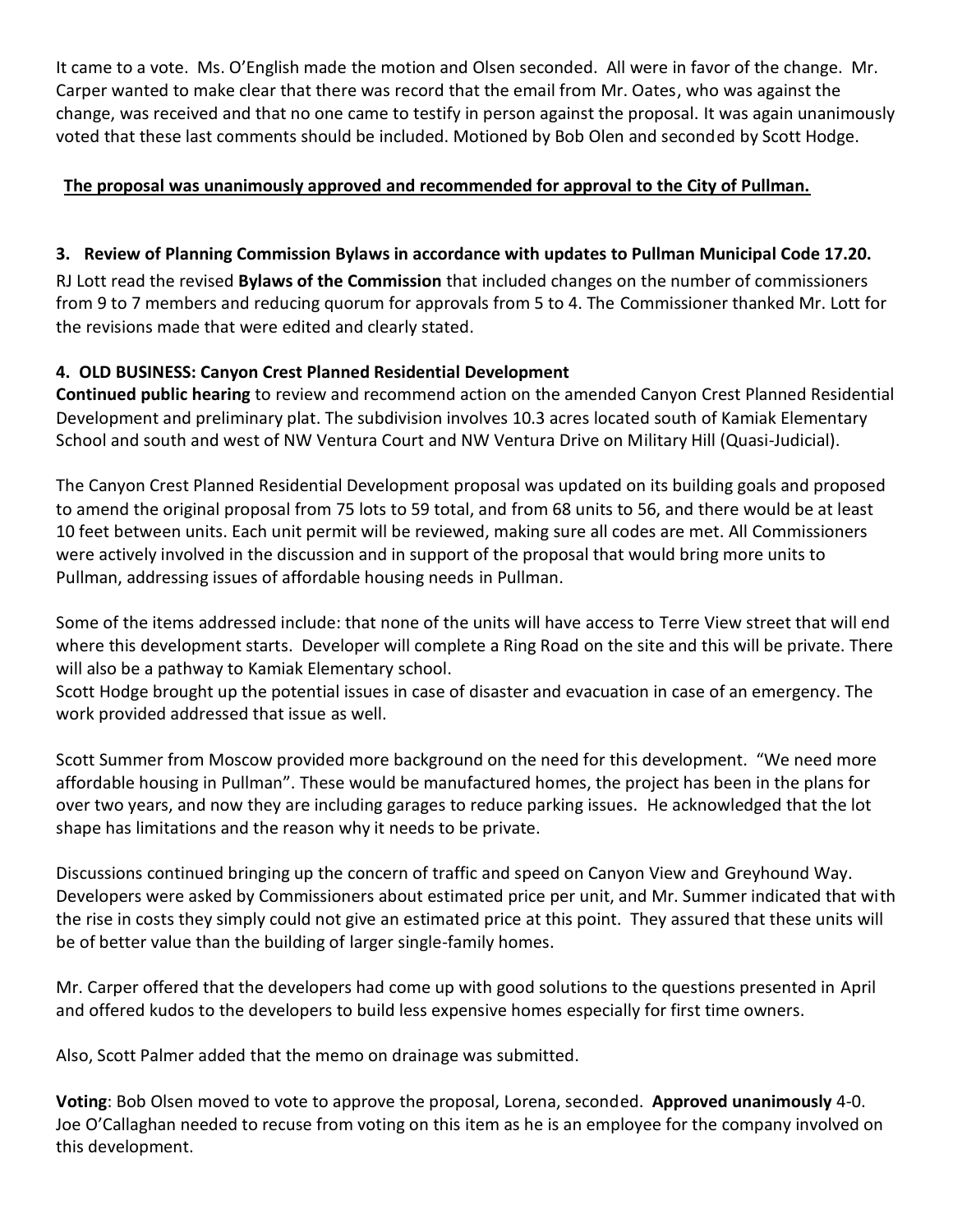It came to a vote. Ms. O'English made the motion and Olsen seconded. All were in favor of the change. Mr. Carper wanted to make clear that there was record that the email from Mr. Oates, who was against the change, was received and that no one came to testify in person against the proposal. It was again unanimously voted that these last comments should be included. Motioned by Bob Olen and seconded by Scott Hodge.

# **The proposal was unanimously approved and recommended for approval to the City of Pullman.**

# **3. Review of Planning Commission Bylaws in accordance with updates to Pullman Municipal Code 17.20.**

RJ Lott read the revised **Bylaws of the Commission** that included changes on the number of commissioners from 9 to 7 members and reducing quorum for approvals from 5 to 4. The Commissioner thanked Mr. Lott for the revisions made that were edited and clearly stated.

## **4. OLD BUSINESS: Canyon Crest Planned Residential Development**

**Continued public hearing** to review and recommend action on the amended Canyon Crest Planned Residential Development and preliminary plat. The subdivision involves 10.3 acres located south of Kamiak Elementary School and south and west of NW Ventura Court and NW Ventura Drive on Military Hill (Quasi-Judicial).

The Canyon Crest Planned Residential Development proposal was updated on its building goals and proposed to amend the original proposal from 75 lots to 59 total, and from 68 units to 56, and there would be at least 10 feet between units. Each unit permit will be reviewed, making sure all codes are met. All Commissioners were actively involved in the discussion and in support of the proposal that would bring more units to Pullman, addressing issues of affordable housing needs in Pullman.

Some of the items addressed include: that none of the units will have access to Terre View street that will end where this development starts. Developer will complete a Ring Road on the site and this will be private. There will also be a pathway to Kamiak Elementary school.

Scott Hodge brought up the potential issues in case of disaster and evacuation in case of an emergency. The work provided addressed that issue as well.

Scott Summer from Moscow provided more background on the need for this development. "We need more affordable housing in Pullman". These would be manufactured homes, the project has been in the plans for over two years, and now they are including garages to reduce parking issues. He acknowledged that the lot shape has limitations and the reason why it needs to be private.

Discussions continued bringing up the concern of traffic and speed on Canyon View and Greyhound Way. Developers were asked by Commissioners about estimated price per unit, and Mr. Summer indicated that with the rise in costs they simply could not give an estimated price at this point. They assured that these units will be of better value than the building of larger single-family homes.

Mr. Carper offered that the developers had come up with good solutions to the questions presented in April and offered kudos to the developers to build less expensive homes especially for first time owners.

Also, Scott Palmer added that the memo on drainage was submitted.

**Voting**: Bob Olsen moved to vote to approve the proposal, Lorena, seconded. **Approved unanimously** 4-0. Joe O'Callaghan needed to recuse from voting on this item as he is an employee for the company involved on this development.